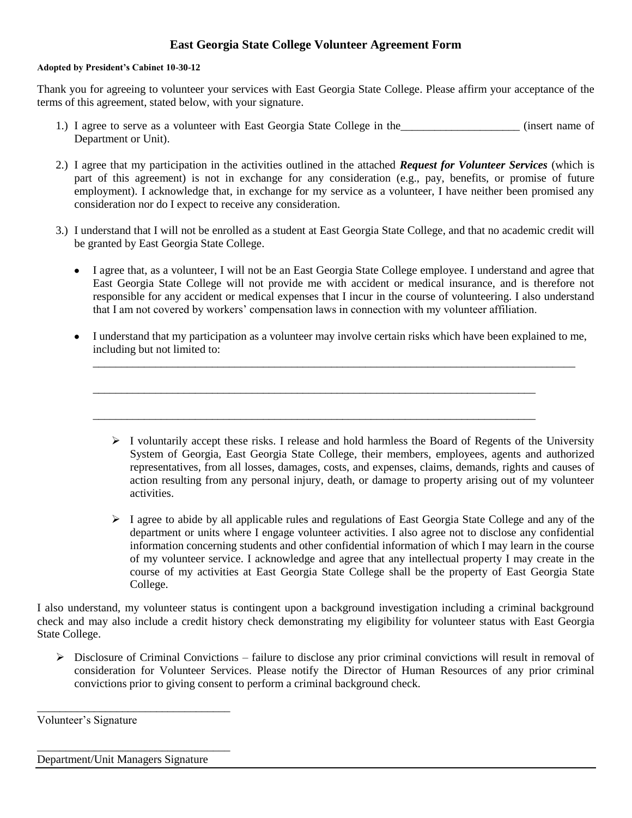## **East Georgia State College Volunteer Agreement Form**

## **Adopted by President's Cabinet 10-30-12**

Thank you for agreeing to volunteer your services with East Georgia State College. Please affirm your acceptance of the terms of this agreement, stated below, with your signature.

- 1.) I agree to serve as a volunteer with East Georgia State College in the *neural* (insert name of Department or Unit).
- 2.) I agree that my participation in the activities outlined in the attached *Request for Volunteer Services* (which is part of this agreement) is not in exchange for any consideration (e.g., pay, benefits, or promise of future employment). I acknowledge that, in exchange for my service as a volunteer, I have neither been promised any consideration nor do I expect to receive any consideration.
- 3.) I understand that I will not be enrolled as a student at East Georgia State College, and that no academic credit will be granted by East Georgia State College.
	- I agree that, as a volunteer, I will not be an East Georgia State College employee. I understand and agree that East Georgia State College will not provide me with accident or medical insurance, and is therefore not responsible for any accident or medical expenses that I incur in the course of volunteering. I also understand that I am not covered by workers' compensation laws in connection with my volunteer affiliation.
	- I understand that my participation as a volunteer may involve certain risks which have been explained to me, including but not limited to:

\_\_\_\_\_\_\_\_\_\_\_\_\_\_\_\_\_\_\_\_\_\_\_\_\_\_\_\_\_\_\_\_\_\_\_\_\_\_\_\_\_\_\_\_\_\_\_\_\_\_\_\_\_\_\_\_\_\_\_\_\_\_\_\_\_\_\_\_\_\_\_\_\_\_\_\_\_\_\_\_\_\_\_\_\_

\_\_\_\_\_\_\_\_\_\_\_\_\_\_\_\_\_\_\_\_\_\_\_\_\_\_\_\_\_\_\_\_\_\_\_\_\_\_\_\_\_\_\_\_\_\_\_\_\_\_\_\_\_\_\_\_\_\_\_\_\_\_\_\_\_\_\_\_\_\_\_\_\_\_\_\_\_\_

\_\_\_\_\_\_\_\_\_\_\_\_\_\_\_\_\_\_\_\_\_\_\_\_\_\_\_\_\_\_\_\_\_\_\_\_\_\_\_\_\_\_\_\_\_\_\_\_\_\_\_\_\_\_\_\_\_\_\_\_\_\_\_\_\_\_\_\_\_\_\_\_\_\_\_\_\_\_

- $\triangleright$  I voluntarily accept these risks. I release and hold harmless the Board of Regents of the University System of Georgia, East Georgia State College, their members, employees, agents and authorized representatives, from all losses, damages, costs, and expenses, claims, demands, rights and causes of action resulting from any personal injury, death, or damage to property arising out of my volunteer activities.
- $\triangleright$  I agree to abide by all applicable rules and regulations of East Georgia State College and any of the department or units where I engage volunteer activities. I also agree not to disclose any confidential information concerning students and other confidential information of which I may learn in the course of my volunteer service. I acknowledge and agree that any intellectual property I may create in the course of my activities at East Georgia State College shall be the property of East Georgia State College.

I also understand, my volunteer status is contingent upon a background investigation including a criminal background check and may also include a credit history check demonstrating my eligibility for volunteer status with East Georgia State College.

 $\triangleright$  Disclosure of Criminal Convictions – failure to disclose any prior criminal convictions will result in removal of consideration for Volunteer Services. Please notify the Director of Human Resources of any prior criminal convictions prior to giving consent to perform a criminal background check.

Department/Unit Managers Signature

\_\_\_\_\_\_\_\_\_\_\_\_\_\_\_\_\_\_\_\_\_\_\_\_\_\_\_\_\_\_\_\_\_\_

\_\_\_\_\_\_\_\_\_\_\_\_\_\_\_\_\_\_\_\_\_\_\_\_\_\_\_\_\_\_\_\_\_\_

Volunteer's Signature